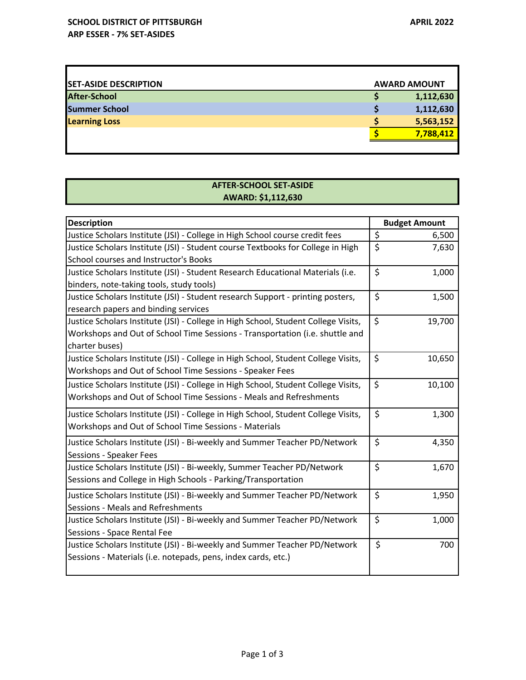Г

| <b>SET-ASIDE DESCRIPTION</b> | <b>AWARD AMOUNT</b> |
|------------------------------|---------------------|
| After-School                 | 1,112,630           |
| <b>Summer School</b>         | 1,112,630           |
| <b>Learning Loss</b>         | 5,563,152           |
|                              | 7,788,412           |
|                              |                     |

## **AFTER‐SCHOOL SET‐ASIDE AWARD: \$1,112,630**

| <b>Description</b>                                                                 |         | <b>Budget Amount</b> |  |
|------------------------------------------------------------------------------------|---------|----------------------|--|
| Justice Scholars Institute (JSI) - College in High School course credit fees       | \$      | 6,500                |  |
| Justice Scholars Institute (JSI) - Student course Textbooks for College in High    | \$      | 7,630                |  |
| School courses and Instructor's Books                                              |         |                      |  |
| Justice Scholars Institute (JSI) - Student Research Educational Materials (i.e.    | \$      | 1,000                |  |
| binders, note-taking tools, study tools)                                           |         |                      |  |
| Justice Scholars Institute (JSI) - Student research Support - printing posters,    | \$      | 1,500                |  |
| research papers and binding services                                               |         |                      |  |
| Justice Scholars Institute (JSI) - College in High School, Student College Visits, | \$      | 19,700               |  |
| Workshops and Out of School Time Sessions - Transportation (i.e. shuttle and       |         |                      |  |
| charter buses)                                                                     |         |                      |  |
| Justice Scholars Institute (JSI) - College in High School, Student College Visits, | \$      | 10,650               |  |
| Workshops and Out of School Time Sessions - Speaker Fees                           |         |                      |  |
| Justice Scholars Institute (JSI) - College in High School, Student College Visits, | \$      | 10,100               |  |
| Workshops and Out of School Time Sessions - Meals and Refreshments                 |         |                      |  |
| Justice Scholars Institute (JSI) - College in High School, Student College Visits, | \$      | 1,300                |  |
| Workshops and Out of School Time Sessions - Materials                              |         |                      |  |
| Justice Scholars Institute (JSI) - Bi-weekly and Summer Teacher PD/Network         | \$      | 4,350                |  |
| Sessions - Speaker Fees                                                            |         |                      |  |
| Justice Scholars Institute (JSI) - Bi-weekly, Summer Teacher PD/Network            | $\zeta$ | 1,670                |  |
| Sessions and College in High Schools - Parking/Transportation                      |         |                      |  |
| Justice Scholars Institute (JSI) - Bi-weekly and Summer Teacher PD/Network         | \$      | 1,950                |  |
| Sessions - Meals and Refreshments                                                  |         |                      |  |
| Justice Scholars Institute (JSI) - Bi-weekly and Summer Teacher PD/Network         | \$      | 1,000                |  |
| Sessions - Space Rental Fee                                                        |         |                      |  |
| Justice Scholars Institute (JSI) - Bi-weekly and Summer Teacher PD/Network         | \$      | 700                  |  |
| Sessions - Materials (i.e. notepads, pens, index cards, etc.)                      |         |                      |  |
|                                                                                    |         |                      |  |

┓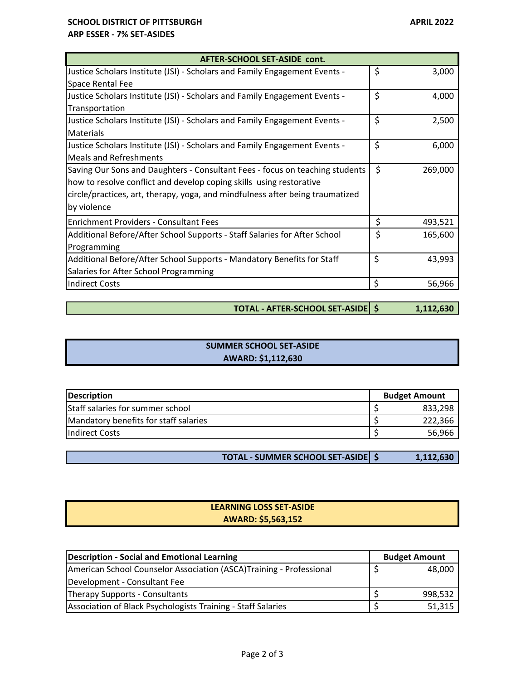#### **SCHOOL DISTRICT OF PITTSBURGH APRIL 2022 ARP ESSER ‐ 7% SET‐ASIDES**

| AFTER-SCHOOL SET-ASIDE cont.                                                  |    |         |  |
|-------------------------------------------------------------------------------|----|---------|--|
| Justice Scholars Institute (JSI) - Scholars and Family Engagement Events -    | \$ | 3,000   |  |
| Space Rental Fee                                                              |    |         |  |
| Justice Scholars Institute (JSI) - Scholars and Family Engagement Events -    | \$ | 4,000   |  |
| Transportation                                                                |    |         |  |
| Justice Scholars Institute (JSI) - Scholars and Family Engagement Events -    | \$ | 2,500   |  |
| <b>Materials</b>                                                              |    |         |  |
| Justice Scholars Institute (JSI) - Scholars and Family Engagement Events -    | \$ | 6,000   |  |
| <b>Meals and Refreshments</b>                                                 |    |         |  |
| Saving Our Sons and Daughters - Consultant Fees - focus on teaching students  | \$ | 269,000 |  |
| how to resolve conflict and develop coping skills using restorative           |    |         |  |
| circle/practices, art, therapy, yoga, and mindfulness after being traumatized |    |         |  |
| by violence                                                                   |    |         |  |
| <b>Enrichment Providers - Consultant Fees</b>                                 | \$ | 493,521 |  |
| Additional Before/After School Supports - Staff Salaries for After School     | \$ | 165,600 |  |
| Programming                                                                   |    |         |  |
| Additional Before/After School Supports - Mandatory Benefits for Staff        | \$ | 43,993  |  |
| Salaries for After School Programming                                         |    |         |  |
| Indirect Costs                                                                | \$ | 56,966  |  |

**TOTAL ‐ AFTER‐SCHOOL SET‐ASIDE 1,112,630 \$** 

| <b>SUMMER SCHOOL SET-ASIDE</b> |  |
|--------------------------------|--|
| AWARD: \$1,112,630             |  |

| <b>Description</b>                    | <b>Budget Amount</b> |  |
|---------------------------------------|----------------------|--|
| Staff salaries for summer school      | 833,298              |  |
| Mandatory benefits for staff salaries | 222,366              |  |
| <b>Indirect Costs</b>                 | 56,966               |  |

**TOTAL - SUMMER SCHOOL SET-ASIDE**  $\frac{1}{5}$  **<b>1,112,630** 

### **AWARD: \$5,563,152 LEARNING LOSS SET‐ASIDE**

| Description - Social and Emotional Learning                         | <b>Budget Amount</b> |  |
|---------------------------------------------------------------------|----------------------|--|
| American School Counselor Association (ASCA)Training - Professional | 48,000               |  |
| Development - Consultant Fee                                        |                      |  |
| Therapy Supports - Consultants                                      | 998,532              |  |
| Association of Black Psychologists Training - Staff Salaries        | 51,315               |  |